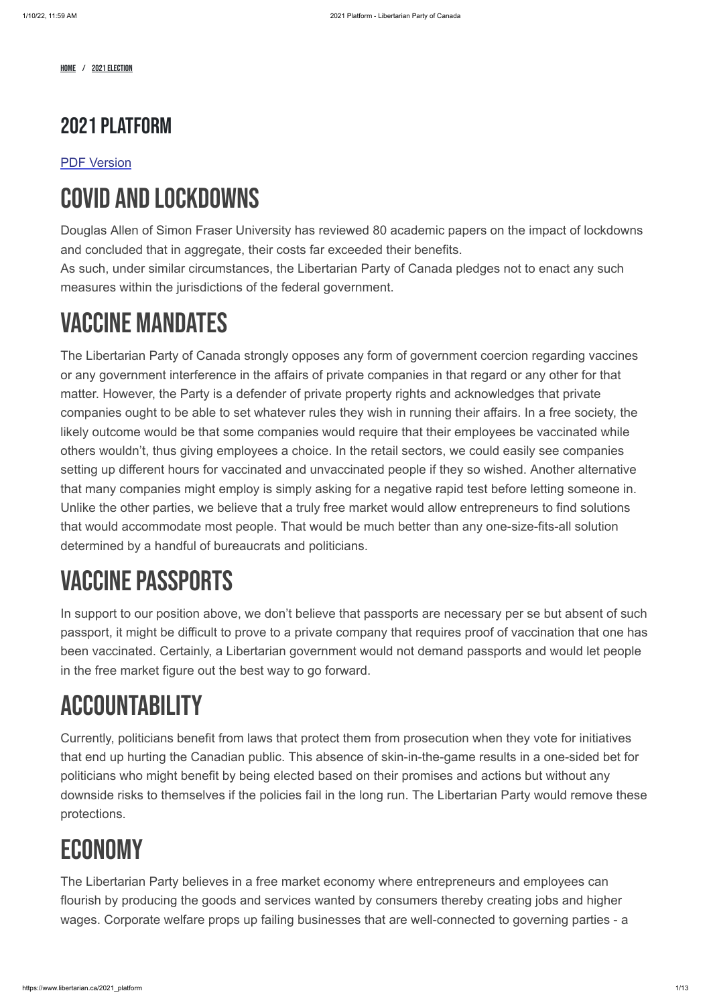HOME / 2021 ELECTION

## 2021 Platform

#### [PDF Version](https://d3n8a8pro7vhmx.cloudfront.net/libertarianca/pages/1723/attachments/original/1631981405/2021_Election_Platform.pdf?1631981405)

## COVID AND LOCKDOWNS

Douglas Allen of Simon Fraser University has reviewed 80 academic papers on the impact of lockdowns and concluded that in aggregate, their costs far exceeded their benefits.

As such, under similar circumstances, the Libertarian Party of Canada pledges not to enact any such measures within the jurisdictions of the federal government.

## VACCINE MANDATES

The Libertarian Party of Canada strongly opposes any form of government coercion regarding vaccines or any government interference in the affairs of private companies in that regard or any other for that matter. However, the Party is a defender of private property rights and acknowledges that private companies ought to be able to set whatever rules they wish in running their affairs. In a free society, the likely outcome would be that some companies would require that their employees be vaccinated while others wouldn't, thus giving employees a choice. In the retail sectors, we could easily see companies setting up different hours for vaccinated and unvaccinated people if they so wished. Another alternative that many companies might employ is simply asking for a negative rapid test before letting someone in. Unlike the other parties, we believe that a truly free market would allow entrepreneurs to find solutions that would accommodate most people. That would be much better than any one-size-fits-all solution determined by a handful of bureaucrats and politicians.

# **VACCINE PASSPORTS**

In support to our position above, we don't believe that passports are necessary per se but absent of such passport, it might be difficult to prove to a private company that requires proof of vaccination that one has been vaccinated. Certainly, a Libertarian government would not demand passports and would let people in the free market figure out the best way to go forward.

# ACCOUNTABILITY

Currently, politicians benefit from laws that protect them from prosecution when they vote for initiatives that end up hurting the Canadian public. This absence of skin-in-the-game results in a one-sided bet for politicians who might benefit by being elected based on their promises and actions but without any downside risks to themselves if the policies fail in the long run. The Libertarian Party would remove these protections.

## ECONOMY

The Libertarian Party believes in a free market economy where entrepreneurs and employees can flourish by producing the goods and services wanted by consumers thereby creating jobs and higher wages. Corporate welfare props up failing businesses that are well-connected to governing parties - a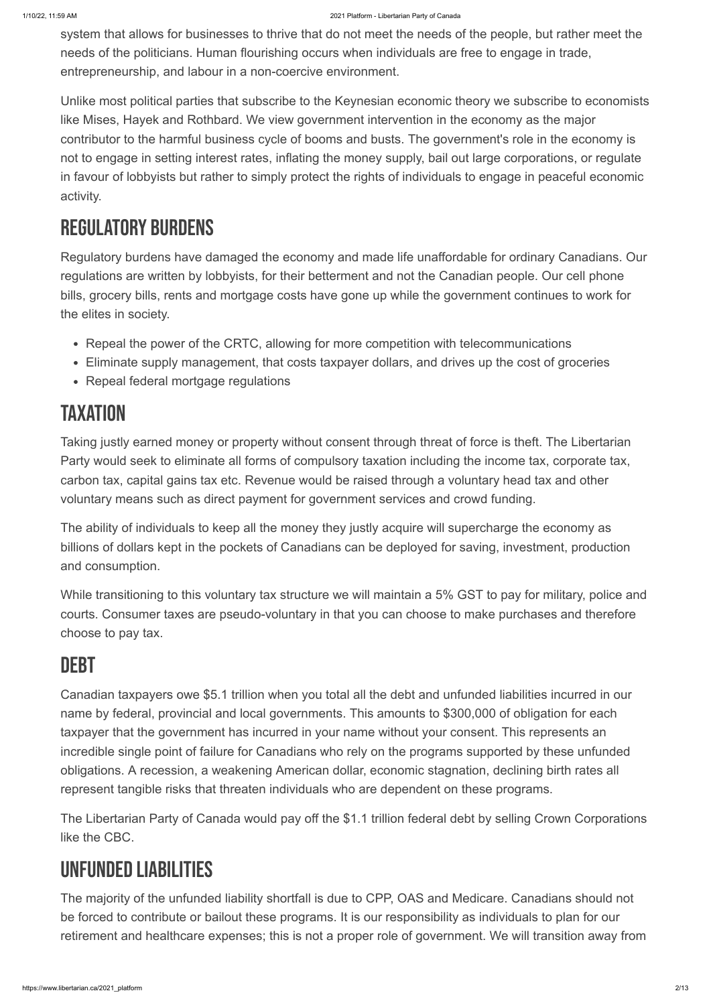system that allows for businesses to thrive that do not meet the needs of the people, but rather meet the needs of the politicians. Human flourishing occurs when individuals are free to engage in trade, entrepreneurship, and labour in a non-coercive environment.

- Repeal the power of the CRTC, allowing for more competition with telecommunications
- Eliminate supply management, that costs taxpayer dollars, and drives up the cost of groceries
- Repeal federal mortgage regulations

## **TAXATION**

Unlike most political parties that subscribe to the Keynesian economic theory we subscribe to economists like Mises, Hayek and Rothbard. We view government intervention in the economy as the major contributor to the harmful business cycle of booms and busts. The government's role in the economy is not to engage in setting interest rates, inflating the money supply, bail out large corporations, or regulate in favour of lobbyists but rather to simply protect the rights of individuals to engage in peaceful economic activity.

## Regulatory Burdens

Regulatory burdens have damaged the economy and made life unaffordable for ordinary Canadians. Our regulations are written by lobbyists, for their betterment and not the Canadian people. Our cell phone bills, grocery bills, rents and mortgage costs have gone up while the government continues to work for the elites in society.

Taking justly earned money or property without consent through threat of force is theft. The Libertarian Party would seek to eliminate all forms of compulsory taxation including the income tax, corporate tax, carbon tax, capital gains tax etc. Revenue would be raised through a voluntary head tax and other voluntary means such as direct payment for government services and crowd funding.

The ability of individuals to keep all the money they justly acquire will supercharge the economy as billions of dollars kept in the pockets of Canadians can be deployed for saving, investment, production and consumption.

While transitioning to this voluntary tax structure we will maintain a 5% GST to pay for military, police and courts. Consumer taxes are pseudo-voluntary in that you can choose to make purchases and therefore choose to pay tax.

## **DEBT**

Canadian taxpayers owe \$5.1 trillion when you total all the debt and unfunded liabilities incurred in our name by federal, provincial and local governments. This amounts to \$300,000 of obligation for each taxpayer that the government has incurred in your name without your consent. This represents an incredible single point of failure for Canadians who rely on the programs supported by these unfunded

obligations. A recession, a weakening American dollar, economic stagnation, declining birth rates all represent tangible risks that threaten individuals who are dependent on these programs.

The Libertarian Party of Canada would pay off the \$1.1 trillion federal debt by selling Crown Corporations like the CBC.

## Unfunded Liabilities

The majority of the unfunded liability shortfall is due to CPP, OAS and Medicare. Canadians should not be forced to contribute or bailout these programs. It is our responsibility as individuals to plan for our retirement and healthcare expenses; this is not a proper role of government. We will transition away from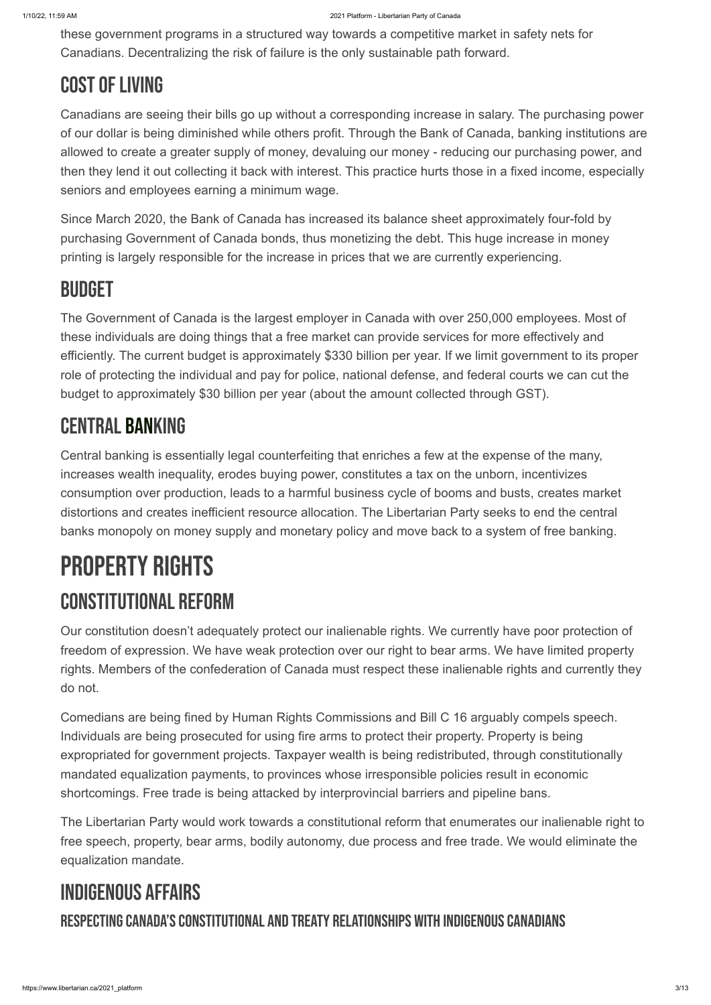these government programs in a structured way towards a competitive market in safety nets for Canadians. Decentralizing the risk of failure is the only sustainable path forward.

## **COST OF LIVING**

Canadians are seeing their bills go up without a corresponding increase in salary. The purchasing power of our dollar is being diminished while others profit. Through the Bank of Canada, banking institutions are allowed to create a greater supply of money, devaluing our money - reducing our purchasing power, and then they lend it out collecting it back with interest. This practice hurts those in a fixed income, especially seniors and employees earning a minimum wage.

Since March 2020, the Bank of Canada has increased its balance sheet approximately four-fold by purchasing Government of Canada bonds, thus monetizing the debt. This huge increase in money printing is largely responsible for the increase in prices that we are currently experiencing.

## **BUDGET**

The Government of Canada is the largest employer in Canada with over 250,000 employees. Most of these individuals are doing things that a free market can provide services for more effectively and efficiently. The current budget is approximately \$330 billion per year. If we limit government to its proper role of protecting the individual and pay for police, national defense, and federal courts we can cut the budget to approximately \$30 billion per year (about the amount collected through GST).

## Central Banking

Central banking is essentially legal counterfeiting that enriches a few at the expense of the many, increases wealth inequality, erodes buying power, constitutes a tax on the unborn, incentivizes consumption over production, leads to a harmful business cycle of booms and busts, creates market distortions and creates inefficient resource allocation. The Libertarian Party seeks to end the central banks monopoly on money supply and monetary policy and move back to a system of free banking.

# PROPERTY RIGHTS Constitutional Reform

Our constitution doesn't adequately protect our inalienable rights. We currently have poor protection of freedom of expression. We have weak protection over our right to bear arms. We have limited property rights. Members of the confederation of Canada must respect these inalienable rights and currently they do not.

Comedians are being fined by Human Rights Commissions and Bill C 16 arguably compels speech. Individuals are being prosecuted for using fire arms to protect their property. Property is being expropriated for government projects. Taxpayer wealth is being redistributed, through constitutionally mandated equalization payments, to provinces whose irresponsible policies result in economic shortcomings. Free trade is being attacked by interprovincial barriers and pipeline bans.

The Libertarian Party would work towards a constitutional reform that enumerates our inalienable right to free speech, property, bear arms, bodily autonomy, due process and free trade. We would eliminate the equalization mandate.

## Indigenous Affairs

#### RESPECTING CANADA'S CONSTITUTIONAL AND TREATY RELATIONSHIPS WITH INDIGENOUS CANADIANS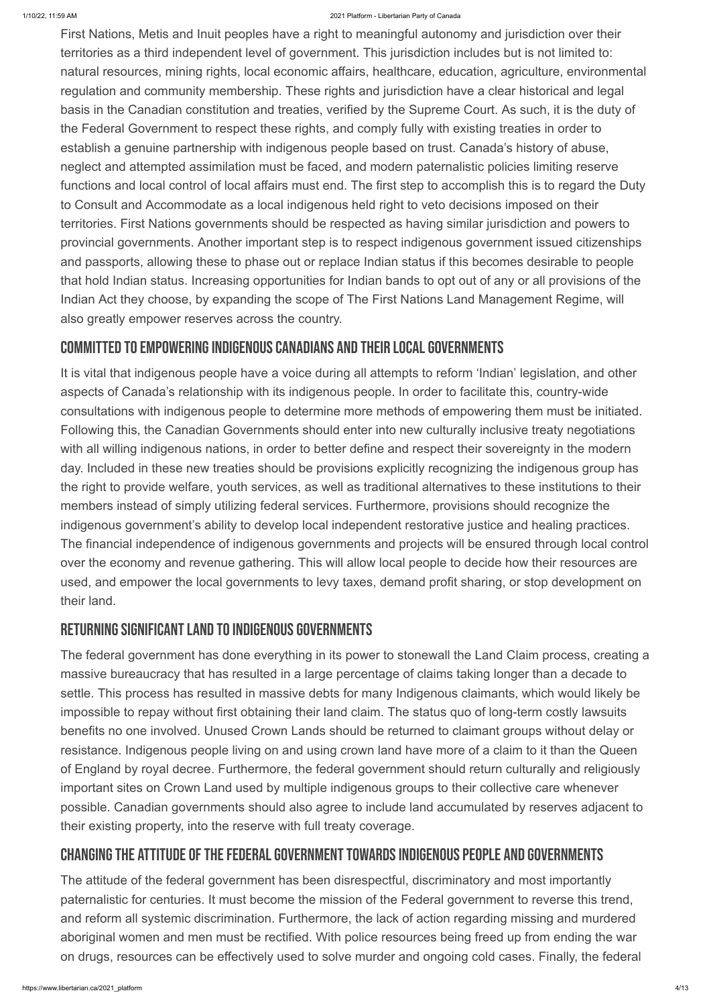First Nations, Metis and Inuit peoples have a right to meaningful autonomy and jurisdiction over their territories as a third independent level of government. This jurisdiction includes but is not limited to: natural resources, mining rights, local economic affairs, healthcare, education, agriculture, environmental regulation and community membership. These rights and jurisdiction have a clear historical and legal basis in the Canadian constitution and treaties, verified by the Supreme Court. As such, it is the duty of the Federal Government to respect these rights, and comply fully with existing treaties in order to establish a genuine partnership with indigenous people based on trust. Canada's history of abuse, neglect and attempted assimilation must be faced, and modern paternalistic policies limiting reserve functions and local control of local affairs must end. The first step to accomplish this is to regard the Duty to Consult and Accommodate as a local indigenous held right to veto decisions imposed on their territories. First Nations governments should be respected as having similar jurisdiction and powers to provincial governments. Another important step is to respect indigenous government issued citizenships and passports, allowing these to phase out or replace Indian status if this becomes desirable to people that hold Indian status. Increasing opportunities for Indian bands to opt out of any or all provisions of the Indian Act they choose, by expanding the scope of The First Nations Land Management Regime, will also greatly empower reserves across the country.

#### COMMITTED TO EMPOWERING INDIGENOUS CANADIANS AND THEIR LOCAL GOVERNMENTS

It is vital that indigenous people have a voice during all attempts to reform 'Indian' legislation, and other aspects of Canada's relationship with its indigenous people. In order to facilitate this, country-wide consultations with indigenous people to determine more methods of empowering them must be initiated. Following this, the Canadian Governments should enter into new culturally inclusive treaty negotiations with all willing indigenous nations, in order to better define and respect their sovereignty in the modern day. Included in these new treaties should be provisions explicitly recognizing the indigenous group has the right to provide welfare, youth services, as well as traditional alternatives to these institutions to their members instead of simply utilizing federal services. Furthermore, provisions should recognize the indigenous government's ability to develop local independent restorative justice and healing practices. The financial independence of indigenous governments and projects will be ensured through local control over the economy and revenue gathering. This will allow local people to decide how their resources are used, and empower the local governments to levy taxes, demand profit sharing, or stop development on their land.

#### RETURNING SIGNIFICANT LAND TO INDIGENOUS GOVERNMENTS

The federal government has done everything in its power to stonewall the Land Claim process, creating a massive bureaucracy that has resulted in a large percentage of claims taking longer than a decade to settle. This process has resulted in massive debts for many Indigenous claimants, which would likely be impossible to repay without first obtaining their land claim. The status quo of long-term costly lawsuits benefits no one involved. Unused Crown Lands should be returned to claimant groups without delay or resistance. Indigenous people living on and using crown land have more of a claim to it than the Queen

of England by royal decree. Furthermore, the federal government should return culturally and religiously important sites on Crown Land used by multiple indigenous groups to their collective care whenever possible. Canadian governments should also agree to include land accumulated by reserves adjacent to their existing property, into the reserve with full treaty coverage.

#### CHANGING THE ATTITUDE OF THE FEDERAL GOVERNMENT TOWARDS INDIGENOUS PEOPLE AND GOVERNMENTS

The attitude of the federal government has been disrespectful, discriminatory and most importantly paternalistic for centuries. It must become the mission of the Federal government to reverse this trend, and reform all systemic discrimination. Furthermore, the lack of action regarding missing and murdered aboriginal women and men must be rectified. With police resources being freed up from ending the war on drugs, resources can be effectively used to solve murder and ongoing cold cases. Finally, the federal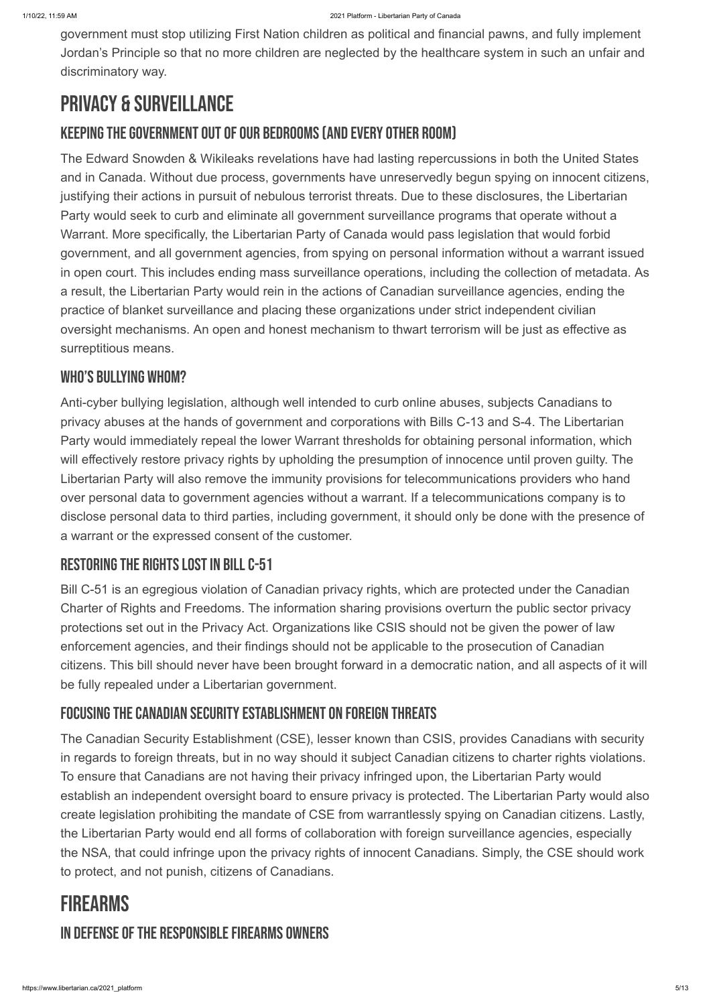government must stop utilizing First Nation children as political and financial pawns, and fully implement Jordan's Principle so that no more children are neglected by the healthcare system in such an unfair and discriminatory way.

## Privacy & Surveillance

#### KEEPING THE GOVERNMENT OUT OF OUR BEDROOMS (AND EVERY OTHER ROOM)

The Edward Snowden & Wikileaks revelations have had lasting repercussions in both the United States and in Canada. Without due process, governments have unreservedly begun spying on innocent citizens, justifying their actions in pursuit of nebulous terrorist threats. Due to these disclosures, the Libertarian Party would seek to curb and eliminate all government surveillance programs that operate without a Warrant. More specifically, the Libertarian Party of Canada would pass legislation that would forbid government, and all government agencies, from spying on personal information without a warrant issued in open court. This includes ending mass surveillance operations, including the collection of metadata. As a result, the Libertarian Party would rein in the actions of Canadian surveillance agencies, ending the practice of blanket surveillance and placing these organizations under strict independent civilian oversight mechanisms. An open and honest mechanism to thwart terrorism will be just as effective as surreptitious means.

#### WHO'S BULLYING WHOM?

Anti-cyber bullying legislation, although well intended to curb online abuses, subjects Canadians to privacy abuses at the hands of government and corporations with Bills C-13 and S-4. The Libertarian Party would immediately repeal the lower Warrant thresholds for obtaining personal information, which will effectively restore privacy rights by upholding the presumption of innocence until proven guilty. The Libertarian Party will also remove the immunity provisions for telecommunications providers who hand over personal data to government agencies without a warrant. If a telecommunications company is to disclose personal data to third parties, including government, it should only be done with the presence of a warrant or the expressed consent of the customer.

### RESTORING THE RIGHTS LOST IN BILL C-51

Bill C-51 is an egregious violation of Canadian privacy rights, which are protected under the Canadian Charter of Rights and Freedoms. The information sharing provisions overturn the public sector privacy protections set out in the Privacy Act. Organizations like CSIS should not be given the power of law enforcement agencies, and their findings should not be applicable to the prosecution of Canadian citizens. This bill should never have been brought forward in a democratic nation, and all aspects of it will be fully repealed under a Libertarian government.

### FOCUSING THE CANADIAN SECURITY ESTABLISHMENT ON FOREIGN THREATS

The Canadian Security Establishment (CSE), lesser known than CSIS, provides Canadians with security in regards to foreign threats, but in no way should it subject Canadian citizens to charter rights violations. To ensure that Canadians are not having their privacy infringed upon, the Libertarian Party would establish an independent oversight board to ensure privacy is protected. The Libertarian Party would also create legislation prohibiting the mandate of CSE from warrantlessly spying on Canadian citizens. Lastly, the Libertarian Party would end all forms of collaboration with foreign surveillance agencies, especially the NSA, that could infringe upon the privacy rights of innocent Canadians. Simply, the CSE should work to protect, and not punish, citizens of Canadians.

### **FIREARMS**

#### IN DEFENSE OF THE RESPONSIBLE FIREARMS OWNERS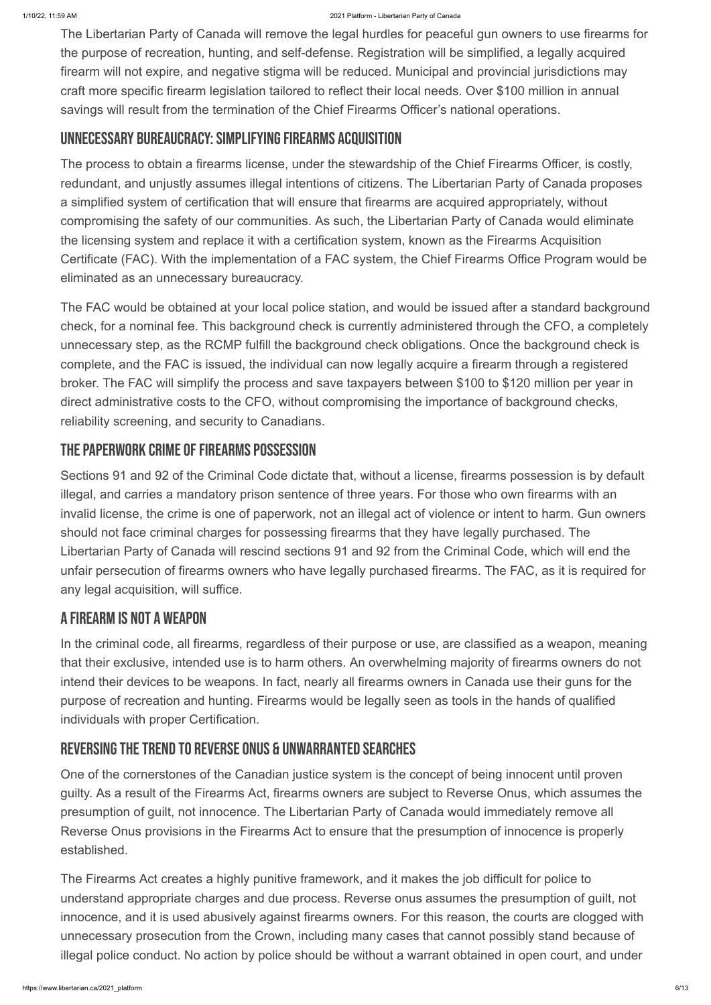The Libertarian Party of Canada will remove the legal hurdles for peaceful gun owners to use firearms for the purpose of recreation, hunting, and self-defense. Registration will be simplified, a legally acquired firearm will not expire, and negative stigma will be reduced. Municipal and provincial jurisdictions may craft more specific firearm legislation tailored to reflect their local needs. Over \$100 million in annual savings will result from the termination of the Chief Firearms Officer's national operations.

#### UNNECESSARY BUREAUCRACY: SIMPLIFYING FIREARMS ACQUISITION

The process to obtain a firearms license, under the stewardship of the Chief Firearms Officer, is costly, redundant, and unjustly assumes illegal intentions of citizens. The Libertarian Party of Canada proposes a simplified system of certification that will ensure that firearms are acquired appropriately, without compromising the safety of our communities. As such, the Libertarian Party of Canada would eliminate the licensing system and replace it with a certification system, known as the Firearms Acquisition Certificate (FAC). With the implementation of a FAC system, the Chief Firearms Office Program would be eliminated as an unnecessary bureaucracy.

The FAC would be obtained at your local police station, and would be issued after a standard background check, for a nominal fee. This background check is currently administered through the CFO, a completely unnecessary step, as the RCMP fulfill the background check obligations. Once the background check is complete, and the FAC is issued, the individual can now legally acquire a firearm through a registered broker. The FAC will simplify the process and save taxpayers between \$100 to \$120 million per year in direct administrative costs to the CFO, without compromising the importance of background checks, reliability screening, and security to Canadians.

#### THE PAPERWORK CRIME OF FIREARMS POSSESSION

Sections 91 and 92 of the Criminal Code dictate that, without a license, firearms possession is by default illegal, and carries a mandatory prison sentence of three years. For those who own firearms with an invalid license, the crime is one of paperwork, not an illegal act of violence or intent to harm. Gun owners should not face criminal charges for possessing firearms that they have legally purchased. The Libertarian Party of Canada will rescind sections 91 and 92 from the Criminal Code, which will end the unfair persecution of firearms owners who have legally purchased firearms. The FAC, as it is required for any legal acquisition, will suffice.

### A Firearm is not a Weapon

In the criminal code, all firearms, regardless of their purpose or use, are classified as a weapon, meaning that their exclusive, intended use is to harm others. An overwhelming majority of firearms owners do not intend their devices to be weapons. In fact, nearly all firearms owners in Canada use their guns for the purpose of recreation and hunting. Firearms would be legally seen as tools in the hands of qualified individuals with proper Certification.

#### REVERSING THE TREND TO REVERSE ONUS & UNWARRANTED SEARCHES

One of the cornerstones of the Canadian justice system is the concept of being innocent until proven guilty. As a result of the Firearms Act, firearms owners are subject to Reverse Onus, which assumes the presumption of guilt, not innocence. The Libertarian Party of Canada would immediately remove all Reverse Onus provisions in the Firearms Act to ensure that the presumption of innocence is properly established.

The Firearms Act creates a highly punitive framework, and it makes the job difficult for police to understand appropriate charges and due process. Reverse onus assumes the presumption of guilt, not innocence, and it is used abusively against firearms owners. For this reason, the courts are clogged with unnecessary prosecution from the Crown, including many cases that cannot possibly stand because of illegal police conduct. No action by police should be without a warrant obtained in open court, and under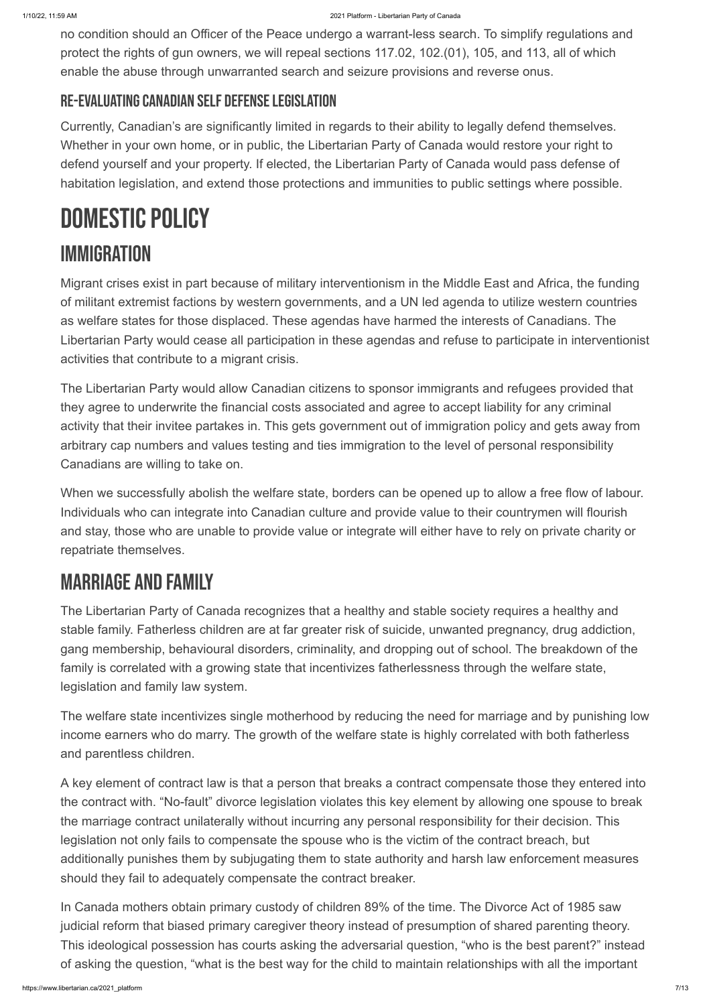no condition should an Officer of the Peace undergo a warrant-less search. To simplify regulations and protect the rights of gun owners, we will repeal sections 117.02, 102.(01), 105, and 113, all of which enable the abuse through unwarranted search and seizure provisions and reverse onus.

### RE-EVALUATING CANADIAN SELF DEFENSE LEGISLATION

Currently, Canadian's are significantly limited in regards to their ability to legally defend themselves. Whether in your own home, or in public, the Libertarian Party of Canada would restore your right to defend yourself and your property. If elected, the Libertarian Party of Canada would pass defense of habitation legislation, and extend those protections and immunities to public settings where possible.

# DOMESTIC POLICY

## **IMMIGRATION**

Migrant crises exist in part because of military interventionism in the Middle East and Africa, the funding of militant extremist factions by western governments, and a UN led agenda to utilize western countries as welfare states for those displaced. These agendas have harmed the interests of Canadians. The Libertarian Party would cease all participation in these agendas and refuse to participate in interventionist activities that contribute to a migrant crisis.

The Libertarian Party would allow Canadian citizens to sponsor immigrants and refugees provided that they agree to underwrite the financial costs associated and agree to accept liability for any criminal activity that their invitee partakes in. This gets government out of immigration policy and gets away from arbitrary cap numbers and values testing and ties immigration to the level of personal responsibility Canadians are willing to take on.

When we successfully abolish the welfare state, borders can be opened up to allow a free flow of labour. Individuals who can integrate into Canadian culture and provide value to their countrymen will flourish and stay, those who are unable to provide value or integrate will either have to rely on private charity or repatriate themselves.

## Marriage and Family

The Libertarian Party of Canada recognizes that a healthy and stable society requires a healthy and stable family. Fatherless children are at far greater risk of suicide, unwanted pregnancy, drug addiction, gang membership, behavioural disorders, criminality, and dropping out of school. The breakdown of the family is correlated with a growing state that incentivizes fatherlessness through the welfare state, legislation and family law system.

The welfare state incentivizes single motherhood by reducing the need for marriage and by punishing low income earners who do marry. The growth of the welfare state is highly correlated with both fatherless and parentless children.

A key element of contract law is that a person that breaks a contract compensate those they entered into the contract with. "No-fault" divorce legislation violates this key element by allowing one spouse to break the marriage contract unilaterally without incurring any personal responsibility for their decision. This legislation not only fails to compensate the spouse who is the victim of the contract breach, but additionally punishes them by subjugating them to state authority and harsh law enforcement measures should they fail to adequately compensate the contract breaker.

In Canada mothers obtain primary custody of children 89% of the time. The Divorce Act of 1985 saw judicial reform that biased primary caregiver theory instead of presumption of shared parenting theory. This ideological possession has courts asking the adversarial question, "who is the best parent?" instead of asking the question, "what is the best way for the child to maintain relationships with all the important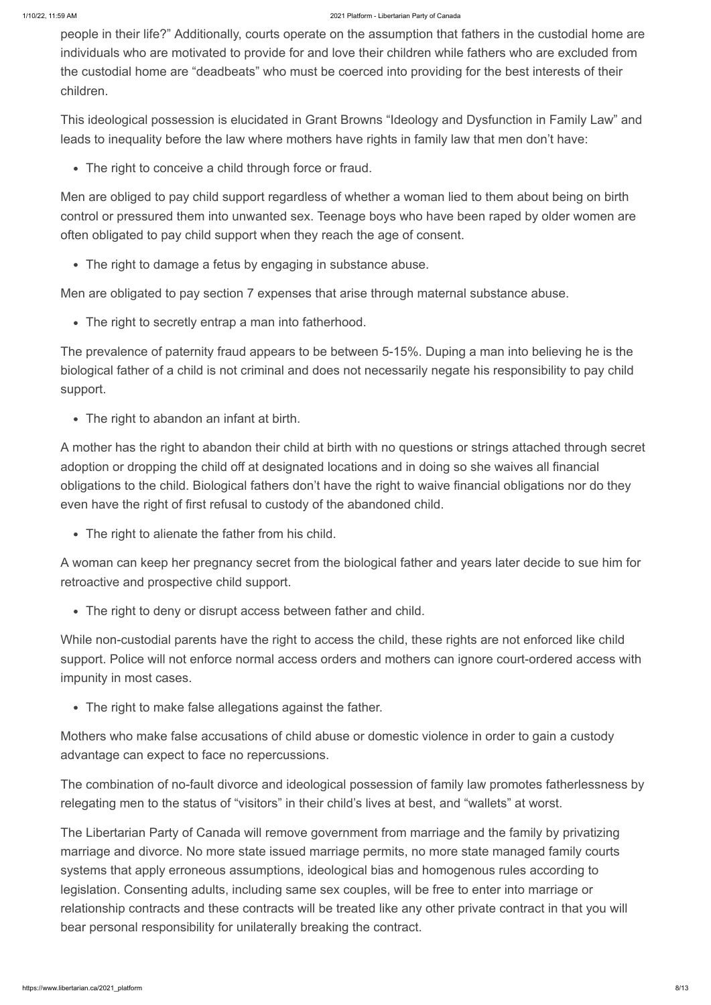people in their life?" Additionally, courts operate on the assumption that fathers in the custodial home are individuals who are motivated to provide for and love their children while fathers who are excluded from the custodial home are "deadbeats" who must be coerced into providing for the best interests of their children.

This ideological possession is elucidated in Grant Browns "Ideology and Dysfunction in Family Law" and leads to inequality before the law where mothers have rights in family law that men don't have:

The right to conceive a child through force or fraud.

Men are obliged to pay child support regardless of whether a woman lied to them about being on birth control or pressured them into unwanted sex. Teenage boys who have been raped by older women are often obligated to pay child support when they reach the age of consent.

The right to damage a fetus by engaging in substance abuse.

Men are obligated to pay section 7 expenses that arise through maternal substance abuse.

The right to secretly entrap a man into fatherhood.

The prevalence of paternity fraud appears to be between 5-15%. Duping a man into believing he is the biological father of a child is not criminal and does not necessarily negate his responsibility to pay child support.

The right to abandon an infant at birth.

A mother has the right to abandon their child at birth with no questions or strings attached through secret adoption or dropping the child off at designated locations and in doing so she waives all financial obligations to the child. Biological fathers don't have the right to waive financial obligations nor do they even have the right of first refusal to custody of the abandoned child.

• The right to alienate the father from his child.

A woman can keep her pregnancy secret from the biological father and years later decide to sue him for retroactive and prospective child support.

The right to deny or disrupt access between father and child.

While non-custodial parents have the right to access the child, these rights are not enforced like child support. Police will not enforce normal access orders and mothers can ignore court-ordered access with impunity in most cases.

• The right to make false allegations against the father.

Mothers who make false accusations of child abuse or domestic violence in order to gain a custody advantage can expect to face no repercussions.

The combination of no-fault divorce and ideological possession of family law promotes fatherlessness by relegating men to the status of "visitors" in their child's lives at best, and "wallets" at worst.

The Libertarian Party of Canada will remove government from marriage and the family by privatizing marriage and divorce. No more state issued marriage permits, no more state managed family courts systems that apply erroneous assumptions, ideological bias and homogenous rules according to legislation. Consenting adults, including same sex couples, will be free to enter into marriage or relationship contracts and these contracts will be treated like any other private contract in that you will bear personal responsibility for unilaterally breaking the contract.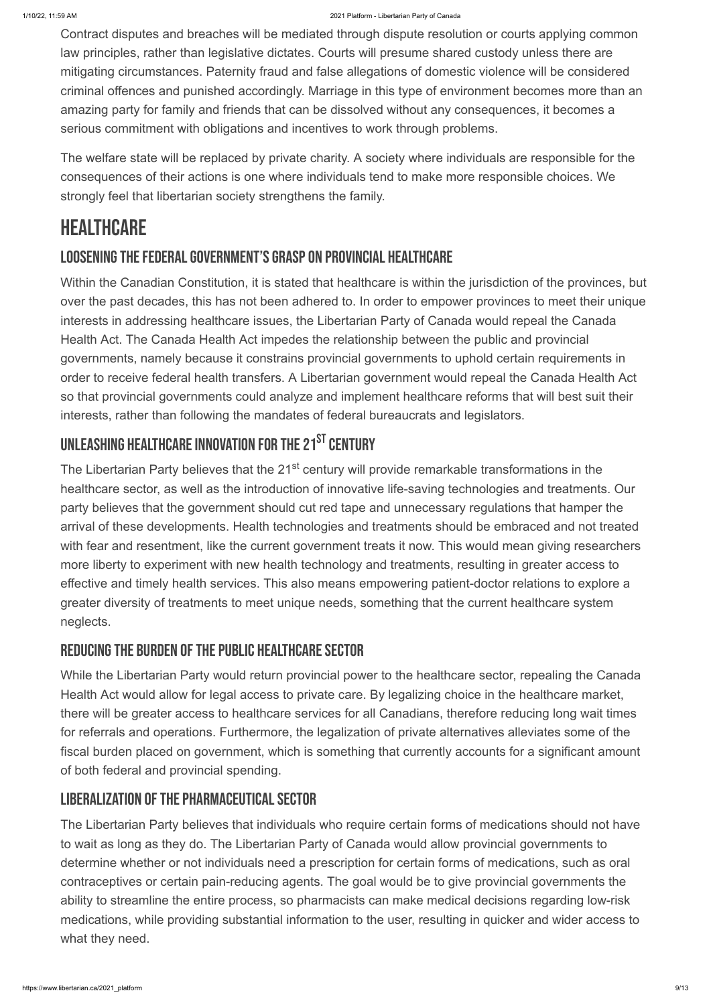Contract disputes and breaches will be mediated through dispute resolution or courts applying common law principles, rather than legislative dictates. Courts will presume shared custody unless there are mitigating circumstances. Paternity fraud and false allegations of domestic violence will be considered criminal offences and punished accordingly. Marriage in this type of environment becomes more than an amazing party for family and friends that can be dissolved without any consequences, it becomes a serious commitment with obligations and incentives to work through problems.

The welfare state will be replaced by private charity. A society where individuals are responsible for the consequences of their actions is one where individuals tend to make more responsible choices. We strongly feel that libertarian society strengthens the family.

## **HEALTHCARE**

### LOOSENING THE FEDERAL GOVERNMENT'S GRASP ON PROVINCIAL HEALTHCARE

The Libertarian Party believes that the 21<sup>st</sup> century will provide remarkable transformations in the healthcare sector, as well as the introduction of innovative life-saving technologies and treatments. Our party believes that the government should cut red tape and unnecessary regulations that hamper the arrival of these developments. Health technologies and treatments should be embraced and not treated with fear and resentment, like the current government treats it now. This would mean giving researchers more liberty to experiment with new health technology and treatments, resulting in greater access to effective and timely health services. This also means empowering patient-doctor relations to explore a greater diversity of treatments to meet unique needs, something that the current healthcare system neglects.

#### REDUCING THE BURDEN OF THE PUBLIC HEALTHCARE SECTOR

Within the Canadian Constitution, it is stated that healthcare is within the jurisdiction of the provinces, but over the past decades, this has not been adhered to. In order to empower provinces to meet their unique interests in addressing healthcare issues, the Libertarian Party of Canada would repeal the Canada Health Act. The Canada Health Act impedes the relationship between the public and provincial governments, namely because it constrains provincial governments to uphold certain requirements in order to receive federal health transfers. A Libertarian government would repeal the Canada Health Act so that provincial governments could analyze and implement healthcare reforms that will best suit their interests, rather than following the mandates of federal bureaucrats and legislators.

## UNLEASHING HEALTHCARE INNOVATION FOR THE 21 $^{\mathtt{ST}}$  century

While the Libertarian Party would return provincial power to the healthcare sector, repealing the Canada Health Act would allow for legal access to private care. By legalizing choice in the healthcare market, there will be greater access to healthcare services for all Canadians, therefore reducing long wait times for referrals and operations. Furthermore, the legalization of private alternatives alleviates some of the fiscal burden placed on government, which is something that currently accounts for a significant amount

#### LIBERALIZATION OF THE PHARMACEUTICAL SECTOR

The Libertarian Party believes that individuals who require certain forms of medications should not have to wait as long as they do. The Libertarian Party of Canada would allow provincial governments to determine whether or not individuals need a prescription for certain forms of medications, such as oral contraceptives or certain pain-reducing agents. The goal would be to give provincial governments the ability to streamline the entire process, so pharmacists can make medical decisions regarding low-risk medications, while providing substantial information to the user, resulting in quicker and wider access to what they need.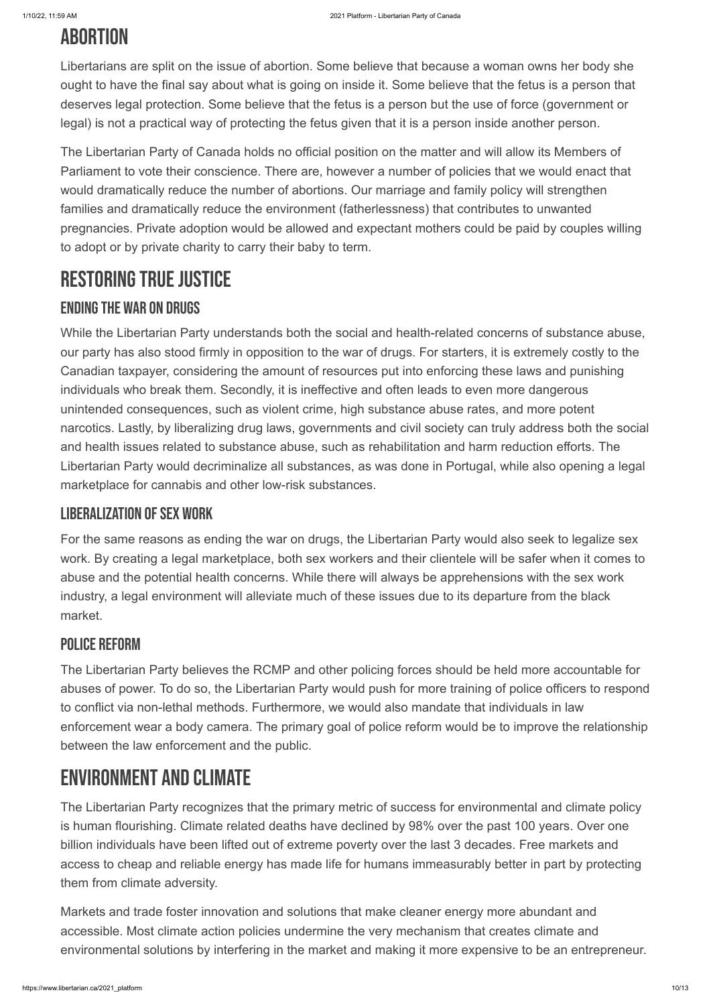## **ABORTION**

Libertarians are split on the issue of abortion. Some believe that because a woman owns her body she ought to have the final say about what is going on inside it. Some believe that the fetus is a person that deserves legal protection. Some believe that the fetus is a person but the use of force (government or legal) is not a practical way of protecting the fetus given that it is a person inside another person.

The Libertarian Party of Canada holds no official position on the matter and will allow its Members of Parliament to vote their conscience. There are, however a number of policies that we would enact that would dramatically reduce the number of abortions. Our marriage and family policy will strengthen families and dramatically reduce the environment (fatherlessness) that contributes to unwanted pregnancies. Private adoption would be allowed and expectant mothers could be paid by couples willing to adopt or by private charity to carry their baby to term.

## RESTORING TRUE JUSTICE

#### **ENDING THE WAR ON DRUGS**

While the Libertarian Party understands both the social and health-related concerns of substance abuse, our party has also stood firmly in opposition to the war of drugs. For starters, it is extremely costly to the Canadian taxpayer, considering the amount of resources put into enforcing these laws and punishing individuals who break them. Secondly, it is ineffective and often leads to even more dangerous unintended consequences, such as violent crime, high substance abuse rates, and more potent narcotics. Lastly, by liberalizing drug laws, governments and civil society can truly address both the social and health issues related to substance abuse, such as rehabilitation and harm reduction efforts. The Libertarian Party would decriminalize all substances, as was done in Portugal, while also opening a legal marketplace for cannabis and other low-risk substances.

#### **LIBERALIZATION OF SEX WORK**

For the same reasons as ending the war on drugs, the Libertarian Party would also seek to legalize sex work. By creating a legal marketplace, both sex workers and their clientele will be safer when it comes to abuse and the potential health concerns. While there will always be apprehensions with the sex work industry, a legal environment will alleviate much of these issues due to its departure from the black market.

#### Police Reform

The Libertarian Party believes the RCMP and other policing forces should be held more accountable for abuses of power. To do so, the Libertarian Party would push for more training of police officers to respond to conflict via non-lethal methods. Furthermore, we would also mandate that individuals in law enforcement wear a body camera. The primary goal of police reform would be to improve the relationship between the law enforcement and the public.

## Environment and Climate

The Libertarian Party recognizes that the primary metric of success for environmental and climate policy is human flourishing. Climate related deaths have declined by 98% over the past 100 years. Over one billion individuals have been lifted out of extreme poverty over the last 3 decades. Free markets and access to cheap and reliable energy has made life for humans immeasurably better in part by protecting them from climate adversity.

Markets and trade foster innovation and solutions that make cleaner energy more abundant and accessible. Most climate action policies undermine the very mechanism that creates climate and environmental solutions by interfering in the market and making it more expensive to be an entrepreneur.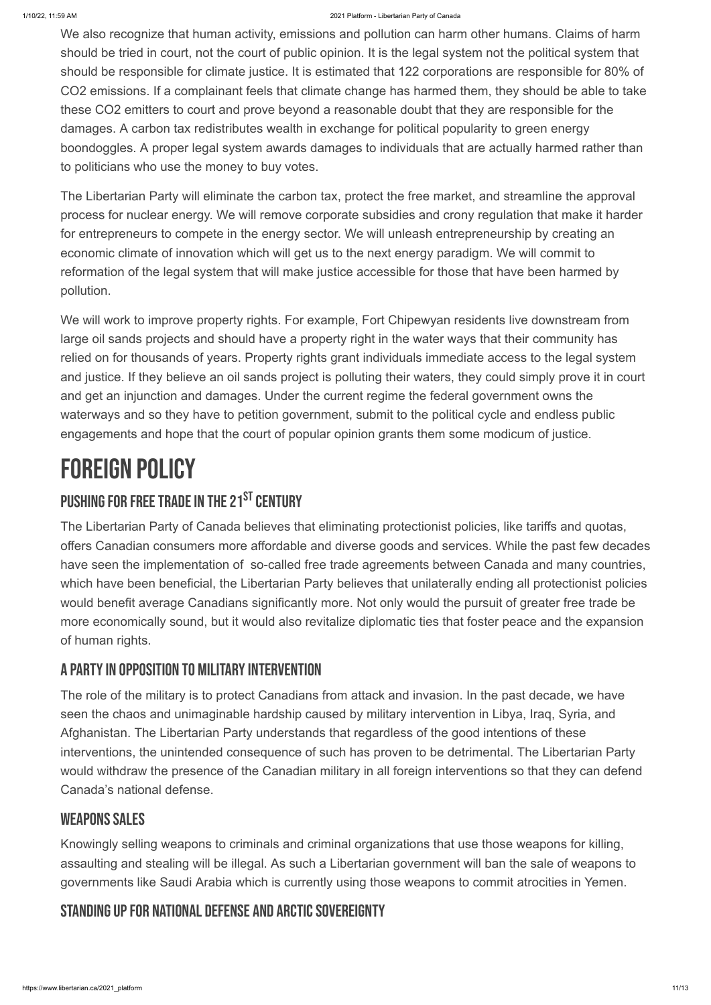We also recognize that human activity, emissions and pollution can harm other humans. Claims of harm should be tried in court, not the court of public opinion. It is the legal system not the political system that should be responsible for climate justice. It is estimated that 122 corporations are responsible for 80% of CO2 emissions. If a complainant feels that climate change has harmed them, they should be able to take these CO2 emitters to court and prove beyond a reasonable doubt that they are responsible for the damages. A carbon tax redistributes wealth in exchange for political popularity to green energy boondoggles. A proper legal system awards damages to individuals that are actually harmed rather than to politicians who use the money to buy votes.

The Libertarian Party will eliminate the carbon tax, protect the free market, and streamline the approval process for nuclear energy. We will remove corporate subsidies and crony regulation that make it harder for entrepreneurs to compete in the energy sector. We will unleash entrepreneurship by creating an economic climate of innovation which will get us to the next energy paradigm. We will commit to reformation of the legal system that will make justice accessible for those that have been harmed by pollution.

We will work to improve property rights. For example, Fort Chipewyan residents live downstream from large oil sands projects and should have a property right in the water ways that their community has relied on for thousands of years. Property rights grant individuals immediate access to the legal system and justice. If they believe an oil sands project is polluting their waters, they could simply prove it in court and get an injunction and damages. Under the current regime the federal government owns the waterways and so they have to petition government, submit to the political cycle and endless public engagements and hope that the court of popular opinion grants them some modicum of justice.

# FOREIGN POLICY

## PUSHING FOR FREE TRADE IN THE 21<sup>st</sup> century

The Libertarian Party of Canada believes that eliminating protectionist policies, like tariffs and quotas, offers Canadian consumers more affordable and diverse goods and services. While the past few decades have seen the implementation of so-called free trade agreements between Canada and many countries, which have been beneficial, the Libertarian Party believes that unilaterally ending all protectionist policies would benefit average Canadians significantly more. Not only would the pursuit of greater free trade be more economically sound, but it would also revitalize diplomatic ties that foster peace and the expansion of human rights.

### A PARTY IN OPPOSITION TO MILITARY INTERVENTION

The role of the military is to protect Canadians from attack and invasion. In the past decade, we have seen the chaos and unimaginable hardship caused by military intervention in Libya, Iraq, Syria, and Afghanistan. The Libertarian Party understands that regardless of the good intentions of these interventions, the unintended consequence of such has proven to be detrimental. The Libertarian Party

would withdraw the presence of the Canadian military in all foreign interventions so that they can defend Canada's national defense.

#### WEAPONS SALES

Knowingly selling weapons to criminals and criminal organizations that use those weapons for killing, assaulting and stealing will be illegal. As such a Libertarian government will ban the sale of weapons to governments like Saudi Arabia which is currently using those weapons to commit atrocities in Yemen.

#### STANDING UP FOR NATIONAL DEFENSE AND ARCTIC SOVEREIGNTY